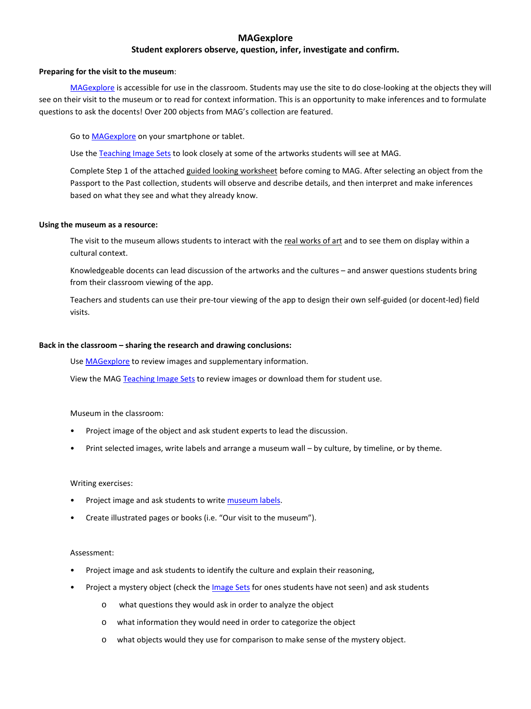# **MAGexplore**

# **Student explorers observe, question, infer, investigate and confirm.**

## **Preparing for the visit to the museum**:

[MAGexplore](http://mag.toursphere.com/) is accessible for use in the classroom. Students may use the site to do close-looking at the objects they will see on their visit to the museum or to read for context information. This is an opportunity to make inferences and to formulate questions to ask the docents! Over 200 objects from MAG's collection are featured.

Go to **MAGexplore** on your smartphone or tablet.

Use th[e Teaching Image Sets](http://mag.rochester.edu/teachers/passport-to-the-past/#images) to look closely at some of the artworks students will see at MAG.

Complete Step 1 of the attached guided looking worksheet before coming to MAG. After selecting an object from the Passport to the Past collection, students will observe and describe details, and then interpret and make inferences based on what they see and what they already know.

## **Using the museum as a resource:**

The visit to the museum allows students to interact with the real works of art and to see them on display within a cultural context.

Knowledgeable docents can lead discussion of the artworks and the cultures – and answer questions students bring from their classroom viewing of the app.

Teachers and students can use their pre-tour viewing of the app to design their own self-guided (or docent-led) field visits.

# **Back in the classroom – sharing the research and drawing conclusions:**

Us[e MAGexplore](http://mag.toursphere.com/) to review images and supplementary information.

View the MAG [Teaching Image Sets](http://mag.rochester.edu/teachers/passport-to-the-past/#images) to review images or download them for student use.

Museum in the classroom:

- Project image of the object and ask student experts to lead the discussion.
- Print selected images, write labels and arrange a museum wall by culture, by timeline, or by theme.

## Writing exercises:

- Project image and ask students to write museum labels.
- Create illustrated pages or books (i.e. "Our visit to the museum").

## Assessment:

- Project image and ask students to identify the culture and explain their reasoning,
- Project a mystery object (check th[e Image Sets](http://mag.rochester.edu/teachers/passport-to-the-past/#images) for ones students have not seen) and ask students
	- o what questions they would ask in order to analyze the object
	- o what information they would need in order to categorize the object
	- what objects would they use for comparison to make sense of the mystery object.